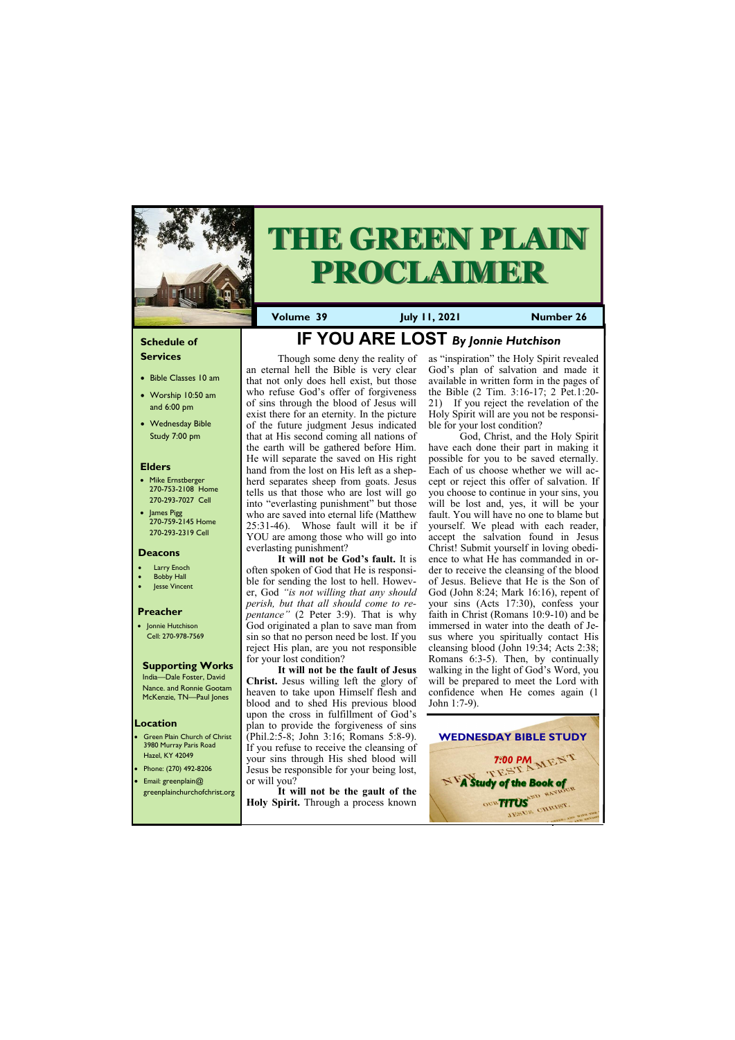#### **Schedule of Services**

- Bible Classes 10 am
- Worship 10:50 am and 6:00 pm
- Wednesday Bible Study 7:00 pm

#### **Elders**

- Mike Ernstberger 270-753-2108 Home 270-293-7027 Cell
- James Pigg 270-759-2145 Home 270-293-2319 Cell

- **Green Plain Church of Christ** 3980 Murray Paris Road Hazel, KY 42049 • Phone: (270) 492-8206
- Email: greenplain@

#### **Location**



# **THE GREEN PLAIN PROCLAIMER**

**Volume 39 July 11, 2021 Number 26**

#### **Deacons**

- Larry Enoch
- **Bobby Hall**
- Jesse Vincent

#### **Preacher**

• Jonnie Hutchison Cell: 270-978-7569

#### **Supporting Works**

India—Dale Foster, David Nance. and Ronnie Gootam McKenzie, TN—Paul Jones

## **IF YOU ARE LOST** *By Jonnie Hutchison*

Though some deny the reality of an eternal hell the Bible is very clear that not only does hell exist, but those who refuse God's offer of forgiveness of sins through the blood of Jesus will exist there for an eternity. In the picture of the future judgment Jesus indicated that at His second coming all nations of the earth will be gathered before Him. He will separate the saved on His right hand from the lost on His left as a shepherd separates sheep from goats. Jesus tells us that those who are lost will go into "everlasting punishment" but those who are saved into eternal life (Matthew 25:31-46). Whose fault will it be if YOU are among those who will go into everlasting punishment?

greenplainchurchofchrist.org **It will not be the gault of the Holy Spirit.** Through a process known

**It will not be God's fault.** It is often spoken of God that He is responsible for sending the lost to hell. However, God *"is not willing that any should perish, but that all should come to repentance"* (2 Peter 3:9). That is why God originated a plan to save man from sin so that no person need be lost. If you reject His plan, are you not responsible for your lost condition?

**It will not be the fault of Jesus Christ.** Jesus willing left the glory of heaven to take upon Himself flesh and blood and to shed His previous blood upon the cross in fulfillment of God's plan to provide the forgiveness of sins (Phil.2:5-8; John 3:16; Romans 5:8-9). If you refuse to receive the cleansing of your sins through His shed blood will Jesus be responsible for your being lost, or will you?

as "inspiration" the Holy Spirit revealed God's plan of salvation and made it available in written form in the pages of the Bible (2 Tim. 3:16-17; 2 Pet.1:20- 21) If you reject the revelation of the Holy Spirit will are you not be responsible for your lost condition?

God, Christ, and the Holy Spirit have each done their part in making it possible for you to be saved eternally. Each of us choose whether we will accept or reject this offer of salvation. If you choose to continue in your sins, you will be lost and, yes, it will be your fault. You will have no one to blame but yourself. We plead with each reader, accept the salvation found in Jesus Christ! Submit yourself in loving obedience to what He has commanded in order to receive the cleansing of the blood of Jesus. Believe that He is the Son of God (John 8:24; Mark 16:16), repent of your sins (Acts 17:30), confess your faith in Christ (Romans 10:9-10) and be immersed in water into the death of Jesus where you spiritually contact His cleansing blood (John 19:34; Acts 2:38; Romans 6:3-5). Then, by continually walking in the light of God's Word, you will be prepared to meet the Lord with confidence when He comes again (1 John 1:7-9).



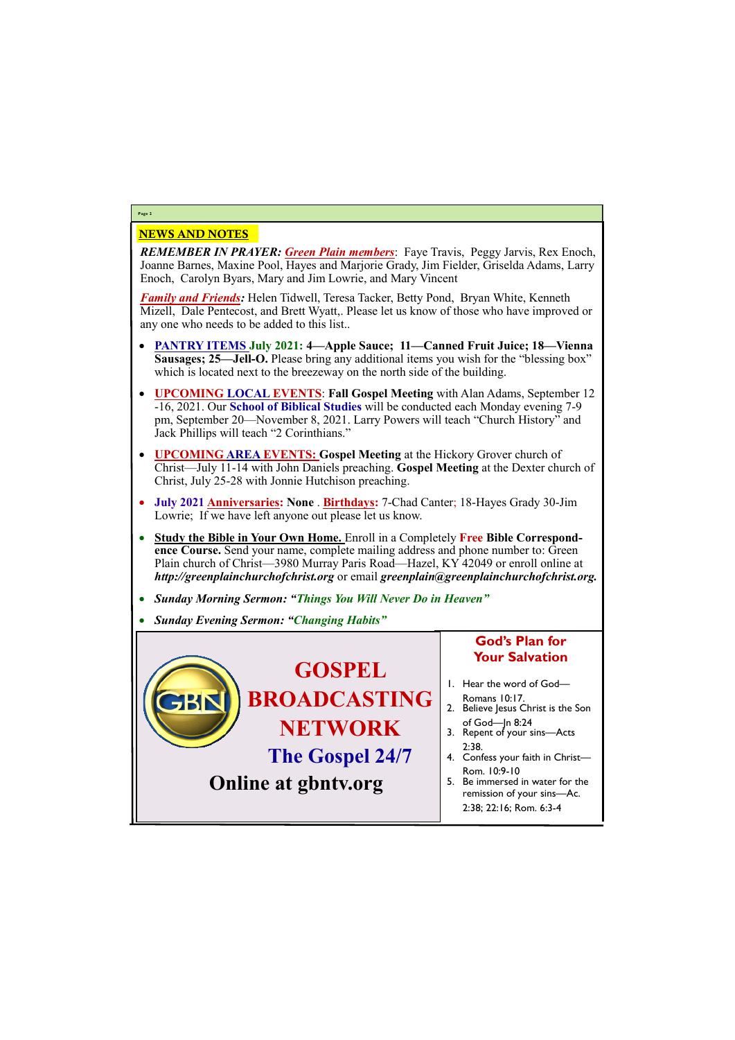#### NEWS AND NOTES

*REMEMBER IN PRAYER: Green Plain members*: Faye Travis, Peggy Jarvis, Rex Enoch, Joanne Barnes, Maxine Pool, Hayes and Marjorie Grady, Jim Fielder, Griselda Adams, Larry Enoch, Carolyn Byars, Mary and Jim Lowrie, and Mary Vincent

*Family and Friends:* Helen Tidwell, Teresa Tacker, Betty Pond, Bryan White, Kenneth Mizell, Dale Pentecost, and Brett Wyatt,. Please let us know of those who have improved or any one who needs to be added to this list..

- **PANTRY ITEMS July 2021: 4—Apple Sauce; 11—Canned Fruit Juice; 18—Vienna Sausages; 25—Jell-O.** Please bring any additional items you wish for the "blessing box" which is located next to the breezeway on the north side of the building.
- **UPCOMING LOCAL EVENTS**: **Fall Gospel Meeting** with Alan Adams, September 12 -16, 2021. Our **School of Biblical Studies** will be conducted each Monday evening 7-9 pm, September 20—November 8, 2021. Larry Powers will teach "Church History" and Jack Phillips will teach "2 Corinthians."
- **UPCOMING AREA EVENTS: Gospel Meeting** at the Hickory Grover church of Christ—July 11-14 with John Daniels preaching. **Gospel Meeting** at the Dexter church of Christ, July 25-28 with Jonnie Hutchison preaching.
- **July 2021 Anniversaries: None** . **Birthdays:** 7-Chad Canter; 18-Hayes Grady 30-Jim Lowrie; If we have left anyone out please let us know.
- **Study the Bible in Your Own Home.** Enroll in a Completely **Free Bible Correspondence Course.** Send your name, complete mailing address and phone number to: Green Plain church of Christ—3980 Murray Paris Road—Hazel, KY 42049 or enroll online at *http://greenplainchurchofchrist.org* or email *greenplain@greenplainchurchofchrist.org.*
- *Sunday Morning Sermon: "Things You Will Never Do in Heaven"*
- *Sunday Evening Sermon: "Changing Habits"*

#### **Page 2**



## **Online at gbntv.org**

### **God's Plan for Your Salvation**

- 1. Hear the word of God—
- Romans 10:17. 2. Believe Jesus Christ is the Son
- of God—Jn 8:24 3. Repent of your sins—Acts 2:38.
- 4. Confess your faith in Christ— Rom. 10:9-10
- 5. Be immersed in water for the

remission of your sins—Ac. 2:38; 22:16; Rom. 6:3-4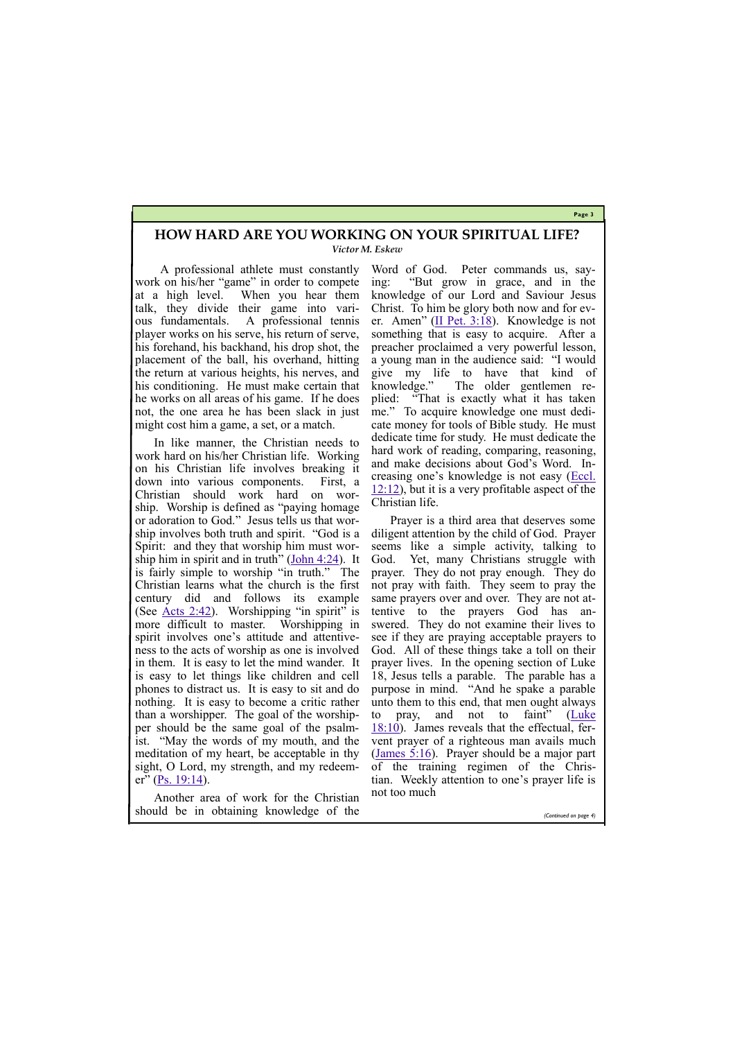**Page 3**

In like manner, the Christian needs to work hard on his/her Christian life. Working on his Christian life involves breaking it down into various components. First, a Christian should work hard on worship. Worship is defined as "paying homage or adoration to God." Jesus tells us that worship involves both truth and spirit. "God is a Spirit: and they that worship him must worship him in spirit and in truth" (John  $4:24$ ). It is fairly simple to worship "in truth." The Christian learns what the church is the first century did and follows its example (See  $\triangle$ cts 2:42). Worshipping "in spirit" is more difficult to master. Worshipping in spirit involves one's attitude and attentiveness to the acts of worship as one is involved in them. It is easy to let the mind wander. It is easy to let things like children and cell phones to distract us. It is easy to sit and do nothing. It is easy to become a critic rather than a worshipper. The goal of the worshipper should be the same goal of the psalmist. "May the words of my mouth, and the meditation of my heart, be acceptable in thy sight, O Lord, my strength, and my redeem-er" ([Ps. 19:14\)](https://biblia.com/bible/kjv1900/Ps.%2019.14).

A professional athlete must constantly work on his/her "game" in order to compete at a high level. When you hear them talk, they divide their game into various fundamentals. A professional tennis player works on his serve, his return of serve, his forehand, his backhand, his drop shot, the placement of the ball, his overhand, hitting the return at various heights, his nerves, and his conditioning. He must make certain that he works on all areas of his game. If he does not, the one area he has been slack in just might cost him a game, a set, or a match.

Word of God. Peter commands us, saying: "But grow in grace, and in the knowledge of our Lord and Saviour Jesus Christ. To him be glory both now and for ever. Amen" ([II Pet. 3:18\)](https://biblia.com/bible/kjv1900/2%20Pet.%203.18). Knowledge is not something that is easy to acquire. After a preacher proclaimed a very powerful lesson, a young man in the audience said: "I would give my life to have that kind of knowledge." The older gentlemen replied: "That is exactly what it has taken me." To acquire knowledge one must dedicate money for tools of Bible study. He must dedicate time for study. He must dedicate the hard work of reading, comparing, reasoning, and make decisions about God's Word. Increasing one's knowledge is not easy ([Eccl.](https://biblia.com/bible/kjv1900/Eccles.%2012.12)   $12:12$ ), but it is a very profitable aspect of the Christian life.

Another area of work for the Christian should be in obtaining knowledge of the not too much

Prayer is a third area that deserves some diligent attention by the child of God. Prayer seems like a simple activity, talking to God. Yet, many Christians struggle with prayer. They do not pray enough. They do not pray with faith. They seem to pray the same prayers over and over. They are not attentive to the prayers God has answered. They do not examine their lives to see if they are praying acceptable prayers to God. All of these things take a toll on their prayer lives. In the opening section of Luke 18, Jesus tells a parable. The parable has a purpose in mind. "And he spake a parable unto them to this end, that men ought always to pray, and not to faint" ([Luke](https://biblia.com/bible/kjv1900/Luke%2018.10)  [18:10\)](https://biblia.com/bible/kjv1900/Luke%2018.10). James reveals that the effectual, fervent prayer of a righteous man avails much [\(James 5:16\).](https://biblia.com/bible/kjv1900/James%205.16) Prayer should be a major part of the training regimen of the Christian. Weekly attention to one's prayer life is

*(Continued on page 4)*

#### **HOW HARD ARE YOU WORKING ON YOUR SPIRITUAL LIFE?** *Victor M. Eskew*